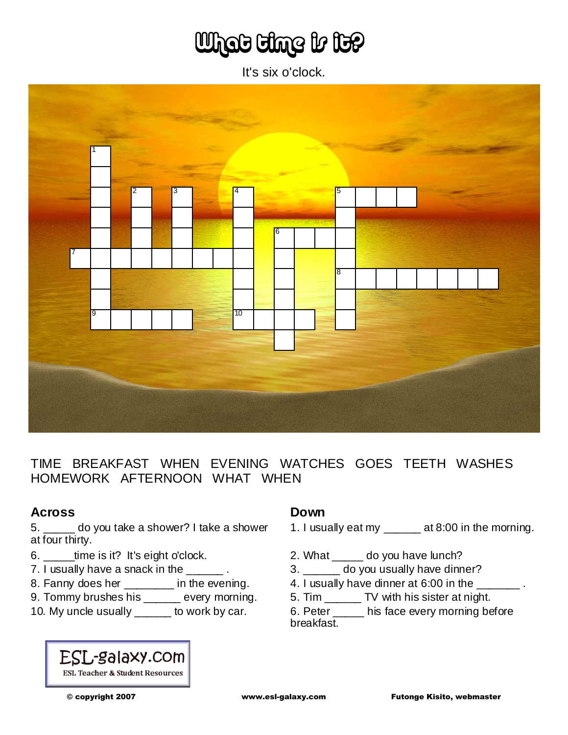# What time is it?

It's six o'clock.



TIME BREAKFAST WHEN EVENING WATCHES GOES TEETH WASHES HOMEWORK AFTERNOON WHAT WHEN

#### **Across**

5. \_\_\_\_\_ do you take a shower? I take a shower at four thirty.

- 6. \_\_\_\_\_time is it? It's eight o'clock.
- 7. I usually have a snack in the \_\_\_\_\_\_.
- 8. Fanny does her \_\_\_\_\_\_\_\_ in the evening.
- 9. Tommy brushes his \_\_\_\_\_ every morning.
- 10. My uncle usually \_\_\_\_\_ to work by car.

## ESL-galaxy.com **ESL Teacher & Student Resources**

#### **Down**

- 1. I usually eat my \_\_\_\_\_\_ at 8:00 in the morning.
- 2. What \_\_\_\_\_ do you have lunch?
- 3. \_\_\_\_\_\_ do you usually have dinner?
- 4. I usually have dinner at 6:00 in the \_\_\_\_\_\_\_\_.
- 5. Tim \_\_\_\_\_\_ TV with his sister at night.

6. Peter \_\_\_\_\_ his face every morning before breakfast.